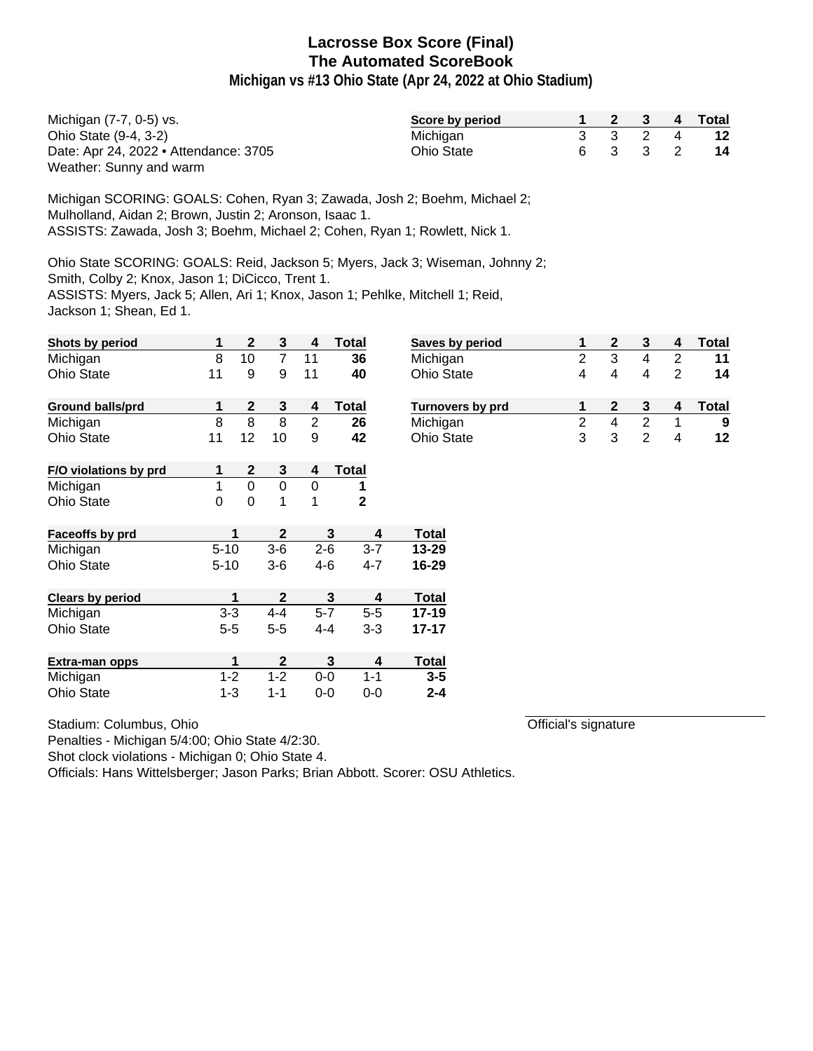**Michigan vs #13 Ohio State (Apr 24, 2022 at Ohio Stadium)**

| Michigan (7-7, 0-5) vs.               | Score by period |  |         | 2 3 4 Total |
|---------------------------------------|-----------------|--|---------|-------------|
| Ohio State (9-4, 3-2)                 | Michigan        |  | 3 3 2 4 | 12          |
| Date: Apr 24, 2022 • Attendance: 3705 | Ohio State      |  | 6 3 3 2 | -14         |
| Weather: Sunny and warm               |                 |  |         |             |

Michigan SCORING: GOALS: Cohen, Ryan 3; Zawada, Josh 2; Boehm, Michael 2; Mulholland, Aidan 2; Brown, Justin 2; Aronson, Isaac 1. ASSISTS: Zawada, Josh 3; Boehm, Michael 2; Cohen, Ryan 1; Rowlett, Nick 1.

Ohio State SCORING: GOALS: Reid, Jackson 5; Myers, Jack 3; Wiseman, Johnny 2; Smith, Colby 2; Knox, Jason 1; DiCicco, Trent 1. ASSISTS: Myers, Jack 5; Allen, Ari 1; Knox, Jason 1; Pehlke, Mitchell 1; Reid, Jackson 1; Shean, Ed 1.

| Shots by period         | 1            | $\mathbf 2$      | $\mathbf{3}$   | 4              | <b>Total</b> | Saves by period  | 1              | $\mathbf{2}$            | 3                       | 4              | <b>Total</b> |
|-------------------------|--------------|------------------|----------------|----------------|--------------|------------------|----------------|-------------------------|-------------------------|----------------|--------------|
| Michigan                | 8            | 10               | $\overline{7}$ | 11             | 36           | Michigan         | $\overline{2}$ | $\overline{3}$          | $\overline{\mathbf{4}}$ | $\overline{2}$ | 11           |
| Ohio State              | 11           | 9                | 9              | 11             | 40           | Ohio State       | 4              | 4                       | 4                       | $\overline{2}$ | 14           |
| <b>Ground balls/prd</b> | 1            | $\boldsymbol{2}$ | 3              | 4              | <b>Total</b> | Turnovers by prd | 1              | $\mathbf{2}$            | 3                       | 4              | <b>Total</b> |
| Michigan                | 8            | 8                | 8              | $\overline{2}$ | 26           | Michigan         | $\overline{2}$ | $\overline{\mathbf{4}}$ | $\overline{2}$          |                | 9            |
| <b>Ohio State</b>       | 11           | 12               | 10             | 9              | 42           | Ohio State       | 3              | 3                       | $\overline{2}$          | 4              | 12           |
| F/O violations by prd   | 1            | $\boldsymbol{2}$ | 3              | 4              | <b>Total</b> |                  |                |                         |                         |                |              |
| Michigan                | $\mathbf{1}$ | $\overline{0}$   | $\mathbf 0$    | $\mathbf 0$    | 1            |                  |                |                         |                         |                |              |
| Ohio State              | $\mathbf 0$  | $\mathbf 0$      | 1              | 1              | $\mathbf{2}$ |                  |                |                         |                         |                |              |
| Faceoffs by prd         |              | 1                | $\mathbf{2}$   | 3              | 4            | <b>Total</b>     |                |                         |                         |                |              |
| Michigan                | $5 - 10$     |                  | $3-6$          | $2 - 6$        | $3 - 7$      | $13 - 29$        |                |                         |                         |                |              |
| <b>Ohio State</b>       | $5 - 10$     |                  | $3-6$          | $4 - 6$        | $4 - 7$      | 16-29            |                |                         |                         |                |              |
| <b>Clears by period</b> |              | 1                | $\mathbf{2}$   | 3              | 4            | <b>Total</b>     |                |                         |                         |                |              |
| Michigan                | $3 - 3$      |                  | $4 - 4$        | $5 - 7$        | $5-5$        | $17 - 19$        |                |                         |                         |                |              |
| <b>Ohio State</b>       | $5 - 5$      |                  | $5 - 5$        | $4 - 4$        | $3 - 3$      | $17 - 17$        |                |                         |                         |                |              |
| <b>Extra-man opps</b>   |              | 1                | $\mathbf{2}$   | 3              | 4            | <b>Total</b>     |                |                         |                         |                |              |
| Michigan                | $1 - 2$      |                  | $1 - 2$        | $0-0$          | $1 - 1$      | $3 - 5$          |                |                         |                         |                |              |
| <b>Ohio State</b>       | $1 - 3$      |                  | $1 - 1$        | $0-0$          | $0-0$        | $2 - 4$          |                |                         |                         |                |              |

| Stadium: Columbus, Ohio |  |
|-------------------------|--|
|                         |  |

Official's signature

Penalties - Michigan 5/4:00; Ohio State 4/2:30.

Shot clock violations - Michigan 0; Ohio State 4.

Officials: Hans Wittelsberger; Jason Parks; Brian Abbott. Scorer: OSU Athletics.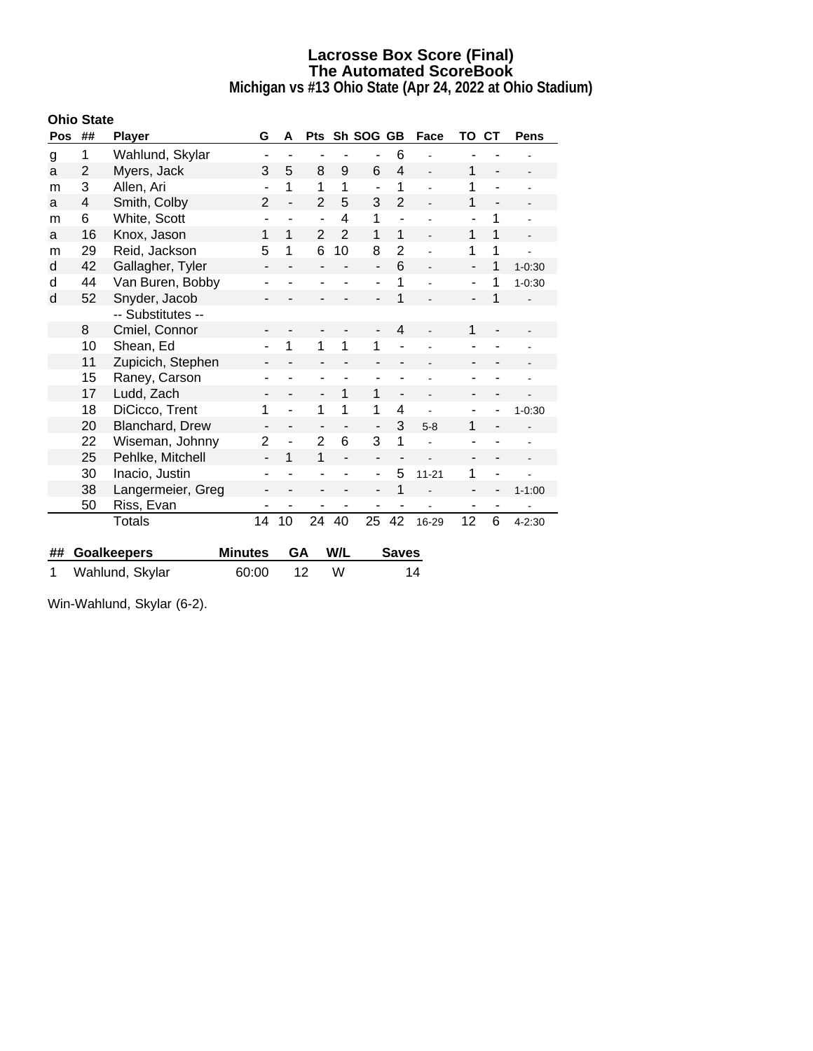**Michigan vs #13 Ohio State (Apr 24, 2022 at Ohio Stadium)**

|     | <b>Ohio State</b> |                    |                              |    |                          |                          |                              |                          |                |                          |                          |             |
|-----|-------------------|--------------------|------------------------------|----|--------------------------|--------------------------|------------------------------|--------------------------|----------------|--------------------------|--------------------------|-------------|
| Pos | ##                | <b>Player</b>      | G                            | A  | <b>Pts</b>               |                          | Sh SOG GB                    |                          | Face           | TO                       | CТ                       | <b>Pens</b> |
| g   | 1                 | Wahlund, Skylar    | ۰                            |    | ۰                        |                          | $\overline{\phantom{a}}$     | 6                        |                |                          |                          |             |
| a   | $\overline{2}$    | Myers, Jack        | 3                            | 5  | 8                        | 9                        | 6                            | $\overline{4}$           |                | 1                        |                          |             |
| m   | 3                 | Allen, Ari         | $\blacksquare$               | 1  | 1                        | 1                        | $\blacksquare$               | 1                        |                | 1                        |                          |             |
| a   | 4                 | Smith, Colby       | $\overline{2}$               |    | $\overline{2}$           | 5                        | 3                            | $\overline{2}$           |                | 1                        | $\overline{\phantom{a}}$ |             |
| m   | 6                 | White, Scott       | ۰                            |    | $\blacksquare$           | 4                        | 1                            | $\overline{\phantom{a}}$ |                | ÷                        | 1                        |             |
| a   | 16                | Knox, Jason        | 1                            | 1  | $\overline{2}$           | $\overline{2}$           | 1                            | 1                        | $\overline{a}$ | 1                        | 1                        |             |
| m   | 29                | Reid, Jackson      | 5                            | 1  | 6                        | 10                       | 8                            | 2                        |                | 1                        | 1                        |             |
| d   | 42                | Gallagher, Tyler   | $\overline{\phantom{a}}$     |    |                          |                          | $\overline{a}$               | 6                        | L.             | $\overline{a}$           | 1                        | $1 - 0:30$  |
| d   | 44                | Van Buren, Bobby   | ۰                            |    |                          |                          | ä,                           | 1                        |                | ۰                        | 1                        | $1 - 0:30$  |
| d   | 52                | Snyder, Jacob      |                              |    |                          |                          | $\blacksquare$               | 1                        |                | $\blacksquare$           | 1                        |             |
|     |                   | -- Substitutes --  |                              |    |                          |                          |                              |                          |                |                          |                          |             |
|     | 8                 | Cmiel, Connor      | -                            |    |                          |                          | $\qquad \qquad \blacksquare$ | $\overline{4}$           |                | 1                        |                          |             |
|     | 10                | Shean, Ed          |                              | 1  | 1                        | 1                        | 1                            |                          |                |                          |                          |             |
|     | 11                | Zupicich, Stephen  |                              |    |                          |                          |                              |                          |                |                          |                          |             |
|     | 15                | Raney, Carson      | ۰                            |    | $\overline{\phantom{a}}$ |                          | $\blacksquare$               |                          |                | ۰                        |                          |             |
|     | 17                | Ludd, Zach         |                              |    | -                        | 1                        | 1                            | $\overline{\phantom{0}}$ |                |                          |                          |             |
|     | 18                | DiCicco, Trent     | 1                            |    | 1                        | 1                        | 1                            | 4                        |                | ۰                        |                          | $1 - 0:30$  |
|     | 20                | Blanchard, Drew    | $\qquad \qquad \blacksquare$ | Ξ. | $\overline{\phantom{a}}$ | $\overline{\phantom{a}}$ | $\qquad \qquad \blacksquare$ | 3                        | $5 - 8$        | 1                        | ۰                        |             |
|     | 22                | Wiseman, Johnny    | $\overline{2}$               |    | $\overline{2}$           | 6                        | 3                            | 1                        |                |                          |                          |             |
|     | 25                | Pehlke, Mitchell   | $\overline{a}$               | 1  | 1                        | ÷,                       | $\overline{a}$               |                          |                | $\overline{\phantom{a}}$ | $\overline{\phantom{a}}$ |             |
|     | 30                | Inacio, Justin     |                              |    |                          |                          | ä,                           | 5                        | $11 - 21$      | 1                        |                          |             |
|     | 38                | Langermeier, Greg  |                              |    |                          |                          | $\blacksquare$               | 1                        |                |                          |                          | $1 - 1:00$  |
|     | 50                | Riss, Evan         | ٠                            |    | ۰                        |                          | $\overline{\phantom{a}}$     |                          |                | ۰                        | ٠                        |             |
|     |                   | <b>Totals</b>      | 14                           | 10 | 24                       | 40                       | 25                           | 42                       | 16-29          | 12                       | 6                        | $4 - 2:30$  |
|     |                   |                    |                              |    |                          |                          |                              |                          |                |                          |                          |             |
| ##  |                   | <b>Goalkeepers</b> | <b>Minutes</b>               | GA |                          | W/L                      |                              | <b>Saves</b>             |                |                          |                          |             |

1 Wahlund, Skylar 60:00 12 W 14

Win-Wahlund, Skylar (6-2).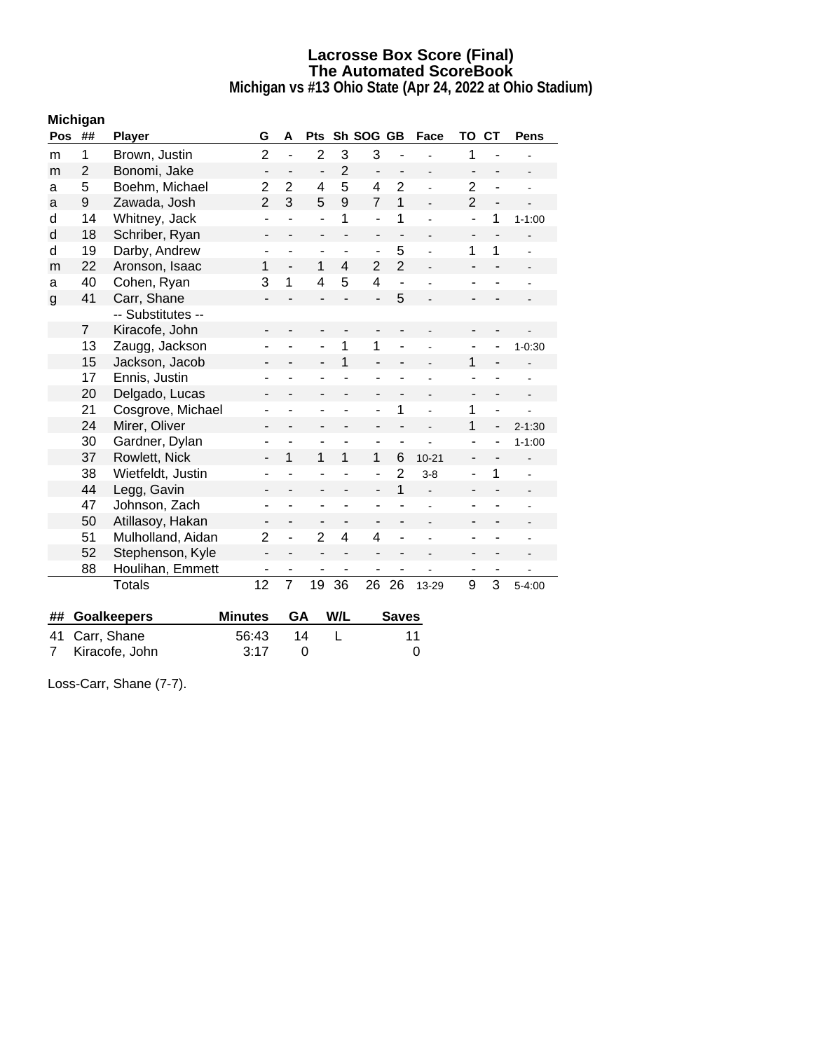**Michigan vs #13 Ohio State (Apr 24, 2022 at Ohio Stadium)**

|            | <b>Michigan</b> |                    |                          |                          |                          |                              |                              |                |                          |                          |                          |                          |
|------------|-----------------|--------------------|--------------------------|--------------------------|--------------------------|------------------------------|------------------------------|----------------|--------------------------|--------------------------|--------------------------|--------------------------|
| <b>Pos</b> | ##              | <b>Player</b>      | G                        | Α                        | <b>Pts</b>               |                              | Sh SOG GB                    |                | Face                     | TO                       | <b>CT</b>                | <b>Pens</b>              |
| m          | 1               | Brown, Justin      | $\overline{c}$           | L,                       | $\overline{2}$           | 3                            | 3                            | Ĭ.             |                          | 1                        |                          |                          |
| m          | $\overline{2}$  | Bonomi, Jake       | $\overline{\phantom{0}}$ | $\overline{\phantom{0}}$ | $\overline{a}$           | $\overline{2}$               | $\qquad \qquad \blacksquare$ | -              | $\overline{\phantom{a}}$ | $\overline{\phantom{a}}$ | $\overline{\phantom{0}}$ | $\overline{\phantom{a}}$ |
| a          | 5               | Boehm, Michael     | $\overline{2}$           | $\overline{2}$           | 4                        | 5                            | $\overline{4}$               | $\overline{2}$ |                          | $\overline{2}$           | ÷,                       | $\overline{a}$           |
| a          | 9               | Zawada, Josh       | $\overline{2}$           | 3                        | 5                        | 9                            | $\overline{7}$               | $\mathbf{1}$   |                          | $\overline{2}$           | $\overline{\phantom{0}}$ |                          |
| d          | 14              | Whitney, Jack      | ÷,                       | ÷,                       | $\overline{a}$           | 1                            | ÷,                           | 1              | $\overline{a}$           | ÷,                       | 1                        | $1 - 1:00$               |
| d          | 18              | Schriber, Ryan     | $\overline{\phantom{a}}$ |                          | ÷,                       | L.                           | $\overline{\phantom{a}}$     | ÷,             | $\overline{a}$           | ÷,                       | ÷,                       |                          |
| d          | 19              | Darby, Andrew      | ۰                        | ÷,                       | ÷                        | $\overline{\phantom{a}}$     | ٠                            | 5              | $\overline{a}$           | $\mathbf 1$              | 1                        |                          |
| m          | 22              | Aronson, Isaac     | 1                        | $\overline{\phantom{0}}$ | 1                        | 4                            | $\overline{2}$               | $\overline{2}$ | $\overline{a}$           | ٠                        | -                        |                          |
| a          | 40              | Cohen, Ryan        | 3                        | 1                        | 4                        | 5                            | $\overline{4}$               | ÷              |                          | $\blacksquare$           |                          |                          |
| g          | 41              | Carr, Shane        | -                        |                          | $\overline{a}$           |                              | $\overline{a}$               | 5              |                          |                          |                          |                          |
|            |                 | -- Substitutes --  |                          |                          |                          |                              |                              |                |                          |                          |                          |                          |
|            | $\overline{7}$  | Kiracofe, John     |                          |                          | $\blacksquare$           |                              |                              |                |                          |                          |                          |                          |
|            | 13              | Zaugg, Jackson     |                          |                          | ۰                        | 1                            | 1                            | i,             |                          | ٠                        |                          | $1 - 0:30$               |
|            | 15              | Jackson, Jacob     | -                        | $\overline{\phantom{0}}$ | $\overline{\phantom{a}}$ | 1                            | $\overline{a}$               | -              |                          | $\mathbf{1}$             | $\overline{\phantom{0}}$ |                          |
|            | 17              | Ennis, Justin      |                          |                          | ä,                       |                              | Ē,                           |                |                          |                          | ÷,                       | $\blacksquare$           |
|            | 20              | Delgado, Lucas     |                          |                          | ۰                        |                              | ۰                            | -              | $\overline{a}$           | $\overline{\phantom{a}}$ | $\overline{\phantom{a}}$ |                          |
|            | 21              | Cosgrove, Michael  | ٠                        |                          | ٠                        | L,                           | -                            | 1              | $\overline{a}$           | 1                        | ÷.                       | $\ddot{\phantom{0}}$     |
|            | 24              | Mirer, Oliver      | $\overline{\phantom{0}}$ | $\overline{\phantom{0}}$ | $\overline{\phantom{a}}$ | ÷,                           | $\overline{\phantom{a}}$     | $\overline{a}$ | $\overline{a}$           | 1                        | $\overline{\phantom{0}}$ | $2 - 1:30$               |
|            | 30              | Gardner, Dylan     | ۰                        |                          | ۰                        | -                            | $\overline{a}$               | ÷              |                          | ۰                        |                          | $1 - 1:00$               |
|            | 37              | Rowlett, Nick      | $\overline{\phantom{0}}$ | 1                        | 1                        | $\mathbf{1}$                 | 1                            | 6              | $10 - 21$                | $\overline{a}$           | $\overline{\phantom{0}}$ |                          |
|            | 38              | Wietfeldt, Justin  |                          |                          |                          |                              | Ĭ.                           | $\overline{2}$ | $3 - 8$                  | $\overline{a}$           | 1                        |                          |
|            | 44              | Legg, Gavin        |                          |                          |                          |                              |                              | 1              |                          |                          |                          |                          |
|            | 47              | Johnson, Zach      | ٠                        | ÷,                       | ٠                        | ÷,                           | ٠                            | ÷              | L,                       | $\overline{a}$           | ÷,                       | $\blacksquare$           |
|            | 50              | Atillasoy, Hakan   | -                        | $\overline{a}$           | -                        | $\qquad \qquad \blacksquare$ | -                            |                | $\blacksquare$           | ٠                        | ÷,                       |                          |
|            | 51              | Mulholland, Aidan  | $\overline{2}$           | ÷,                       | $\overline{2}$           | 4                            | $\overline{\mathbf{4}}$      | L              |                          | $\blacksquare$           |                          |                          |
|            | 52              | Stephenson, Kyle   | $\overline{\phantom{0}}$ | -                        | $\overline{\phantom{a}}$ | $\overline{\phantom{a}}$     | $\overline{\phantom{a}}$     | -              |                          | $\overline{\phantom{a}}$ | -                        |                          |
|            | 88              | Houlihan, Emmett   |                          |                          | $\overline{a}$           | $\overline{\phantom{a}}$     |                              | -              |                          |                          | -                        |                          |
|            |                 | <b>Totals</b>      | 12                       | $\overline{7}$           | 19                       | 36                           | 26                           | 26             | 13-29                    | 9                        | 3                        | $5 - 4:00$               |
|            |                 |                    |                          |                          |                          |                              |                              |                |                          |                          |                          |                          |
| ##         |                 | <b>Goalkeepers</b> | <b>Minutes</b>           | GA                       |                          | W/L                          |                              | <b>Saves</b>   |                          |                          |                          |                          |

41 Carr, Shane 56:43 14 L 11<br>7 Kiracofe, John 3:17 0 0

| Loss-Carr, Shane (7-7). |  |
|-------------------------|--|

7 Kiracofe, John